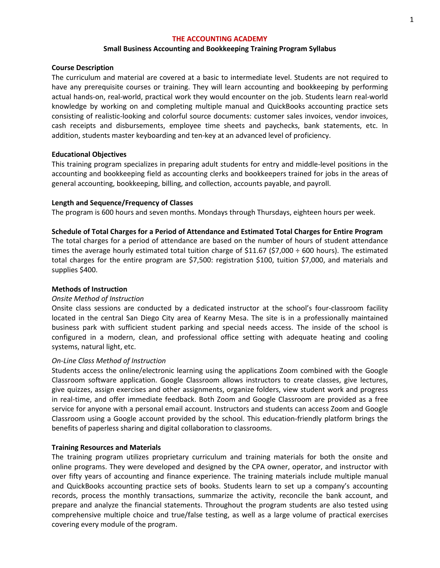### **Small Business Accounting and Bookkeeping Training Program Syllabus**

### **Course Description**

The curriculum and material are covered at a basic to intermediate level. Students are not required to have any prerequisite courses or training. They will learn accounting and bookkeeping by performing actual hands-on, real-world, practical work they would encounter on the job. Students learn real-world knowledge by working on and completing multiple manual and QuickBooks accounting practice sets consisting of realistic-looking and colorful source documents: customer sales invoices, vendor invoices, cash receipts and disbursements, employee time sheets and paychecks, bank statements, etc. In addition, students master keyboarding and ten-key at an advanced level of proficiency.

## **Educational Objectives**

This training program specializes in preparing adult students for entry and middle-level positions in the accounting and bookkeeping field as accounting clerks and bookkeepers trained for jobs in the areas of general accounting, bookkeeping, billing, and collection, accounts payable, and payroll.

## **Length and Sequence/Frequency of Classes**

The program is 600 hours and seven months. Mondays through Thursdays, eighteen hours per week.

## **Schedule of Total Charges for a Period of Attendance and Estimated Total Charges for Entire Program**

The total charges for a period of attendance are based on the number of hours of student attendance times the average hourly estimated total tuition charge of  $$11.67$  ( $$7,000 \div 600$  hours). The estimated total charges for the entire program are \$7,500: registration \$100, tuition \$7,000, and materials and supplies \$400.

#### **Methods of Instruction**

## *Onsite Method of Instruction*

Onsite class sessions are conducted by a dedicated instructor at the school's four-classroom facility located in the central San Diego City area of Kearny Mesa. The site is in a professionally maintained business park with sufficient student parking and special needs access. The inside of the school is configured in a modern, clean, and professional office setting with adequate heating and cooling systems, natural light, etc.

#### *On-Line Class Method of Instruction*

Students access the online/electronic learning using the applications Zoom combined with the Google Classroom software application. Google Classroom allows instructors to create classes, give lectures, give quizzes, assign exercises and other assignments, organize folders, view student work and progress in real-time, and offer immediate feedback. Both Zoom and Google Classroom are provided as a free service for anyone with a personal email account. Instructors and students can access Zoom and Google Classroom using a Google account provided by the school. This education-friendly platform brings the benefits of paperless sharing and digital collaboration to classrooms.

#### **Training Resources and Materials**

The training program utilizes proprietary curriculum and training materials for both the onsite and online programs. They were developed and designed by the CPA owner, operator, and instructor with over fifty years of accounting and finance experience. The training materials include multiple manual and QuickBooks accounting practice sets of books. Students learn to set up a company's accounting records, process the monthly transactions, summarize the activity, reconcile the bank account, and prepare and analyze the financial statements. Throughout the program students are also tested using comprehensive multiple choice and true/false testing, as well as a large volume of practical exercises covering every module of the program.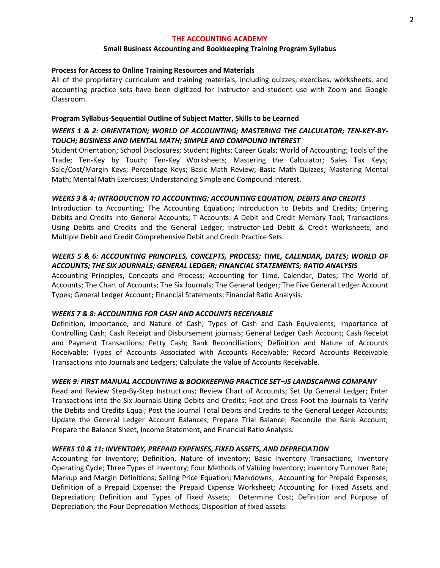## **Small Business Accounting and Bookkeeping Training Program Syllabus**

## **Process for Access to Online Training Resources and Materials**

All of the proprietary curriculum and training materials, including quizzes, exercises, worksheets, and accounting practice sets have been digitized for instructor and student use with Zoom and Google Classroom.

## **Program Syllabus-Sequential Outline of Subject Matter, Skills to be Learned**

# *WEEKS 1 & 2: ORIENTATION; WORLD OF ACCOUNTING; MASTERING THE CALCULATOR; TEN-KEY-BY-TOUCH; BUSINESS AND MENTAL MATH; SIMPLE AND COMPOUND INTEREST*

Student Orientation; School Disclosures; Student Rights; Career Goals; World of Accounting; Tools of the Trade; Ten-Key by Touch; Ten-Key Worksheets; Mastering the Calculator; Sales Tax Keys; Sale/Cost/Margin Keys; Percentage Keys; Basic Math Review; Basic Math Quizzes; Mastering Mental Math; Mental Math Exercises; Understanding Simple and Compound Interest.

## *WEEKS 3 & 4: INTRODUCTION TO ACCOUNTING; ACCOUNTING EQUATION, DEBITS AND CREDITS*

Introduction to Accounting; The Accounting Equation; Introduction to Debits and Credits; Entering Debits and Credits into General Accounts; T Accounts: A Debit and Credit Memory Tool; Transactions Using Debits and Credits and the General Ledger; Instructor-Led Debit & Credit Worksheets; and Multiple Debit and Credit Comprehensive Debit and Credit Practice Sets.

# *WEEKS 5 & 6: ACCOUNTING PRINCIPLES, CONCEPTS, PROCESS; TIME, CALENDAR, DATES; WORLD OF ACCOUNTS; THE SIX JOURNALS; GENERAL LEDGER; FINANCIAL STATEMENTS; RATIO ANALYSIS*

Accounting Principles, Concepts and Process; Accounting for Time, Calendar, Dates; The World of Accounts; The Chart of Accounts; The Six Journals; The General Ledger; The Five General Ledger Account Types; General Ledger Account; Financial Statements; Financial Ratio Analysis.

## *WEEKS 7 & 8: ACCOUNTING FOR CASH AND ACCOUNTS RECEIVABLE*

Definition, Importance, and Nature of Cash; Types of Cash and Cash Equivalents; Importance of Controlling Cash; Cash Receipt and Disbursement journals; General Ledger Cash Account; Cash Receipt and Payment Transactions; Petty Cash; Bank Reconciliations; Definition and Nature of Accounts Receivable; Types of Accounts Associated with Accounts Receivable; Record Accounts Receivable Transactions into Journals and Ledgers; Calculate the Value of Accounts Receivable.

## *WEEK 9: FIRST MANUAL ACCOUNTING & BOOKKEEPING PRACTICE SET–JS LANDSCAPING COMPANY*

Read and Review Step-By-Step Instructions; Review Chart of Accounts; Set Up General Ledger; Enter Transactions into the Six Journals Using Debits and Credits; Foot and Cross Foot the Journals to Verify the Debits and Credits Equal; Post the Journal Total Debits and Credits to the General Ledger Accounts; Update the General Ledger Account Balances; Prepare Trial Balance; Reconcile the Bank Account; Prepare the Balance Sheet, Income Statement, and Financial Ratio Analysis.

## *WEEKS 10 & 11: INVENTORY, PREPAID EXPENSES, FIXED ASSETS, AND DEPRECIATION*

Accounting for Inventory; Definition, Nature of inventory; Basic Inventory Transactions; Inventory Operating Cycle; Three Types of Inventory; Four Methods of Valuing Inventory; Inventory Turnover Rate; Markup and Margin Definitions; Selling Price Equation; Markdowns; Accounting for Prepaid Expenses; Definition of a Prepaid Expense; the Prepaid Expense Worksheet; Accounting for Fixed Assets and Depreciation; Definition and Types of Fixed Assets; Determine Cost; Definition and Purpose of Depreciation; the Four Depreciation Methods; Disposition of fixed assets.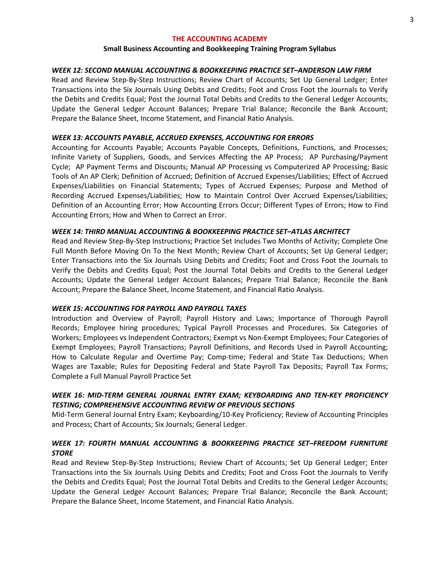## **Small Business Accounting and Bookkeeping Training Program Syllabus**

## *WEEK 12: SECOND MANUAL ACCOUNTING & BOOKKEEPING PRACTICE SET–ANDERSON LAW FIRM*

Read and Review Step-By-Step Instructions; Review Chart of Accounts; Set Up General Ledger; Enter Transactions into the Six Journals Using Debits and Credits; Foot and Cross Foot the Journals to Verify the Debits and Credits Equal; Post the Journal Total Debits and Credits to the General Ledger Accounts; Update the General Ledger Account Balances; Prepare Trial Balance; Reconcile the Bank Account; Prepare the Balance Sheet, Income Statement, and Financial Ratio Analysis.

## *WEEK 13: ACCOUNTS PAYABLE, ACCRUED EXPENSES, ACCOUNTING FOR ERRORS*

Accounting for Accounts Payable; Accounts Payable Concepts, Definitions, Functions, and Processes; Infinite Variety of Suppliers, Goods, and Services Affecting the AP Process; AP Purchasing/Payment Cycle; AP Payment Terms and Discounts; Manual AP Processing vs Computerized AP Processing; Basic Tools of An AP Clerk; Definition of Accrued; Definition of Accrued Expenses/Liabilities; Effect of Accrued Expenses/Liabilities on Financial Statements; Types of Accrued Expenses; Purpose and Method of Recording Accrued Expenses/Liabilities; How to Maintain Control Over Accrued Expenses/Liabilities; Definition of an Accounting Error; How Accounting Errors Occur; Different Types of Errors; How to Find Accounting Errors; How and When to Correct an Error.

## *WEEK 14: THIRD MANUAL ACCOUNTING & BOOKKEEPING PRACTICE SET–ATLAS ARCHITECT*

Read and Review Step-By-Step Instructions; Practice Set Includes Two Months of Activity; Complete One Full Month Before Moving On To the Next Month; Review Chart of Accounts; Set Up General Ledger; Enter Transactions into the Six Journals Using Debits and Credits; Foot and Cross Foot the Journals to Verify the Debits and Credits Equal; Post the Journal Total Debits and Credits to the General Ledger Accounts; Update the General Ledger Account Balances; Prepare Trial Balance; Reconcile the Bank Account; Prepare the Balance Sheet, Income Statement, and Financial Ratio Analysis.

#### *WEEK 15: ACCOUNTING FOR PAYROLL AND PAYROLL TAXES*

Introduction and Overview of Payroll; Payroll History and Laws; Importance of Thorough Payroll Records; Employee hiring procedures; Typical Payroll Processes and Procedures. Six Categories of Workers; Employees vs Independent Contractors; Exempt vs Non-Exempt Employees; Four Categories of Exempt Employees; Payroll Transactions; Payroll Definitions, and Records Used in Payroll Accounting; How to Calculate Regular and Overtime Pay; Comp-time; Federal and State Tax Deductions; When Wages are Taxable; Rules for Depositing Federal and State Payroll Tax Deposits; Payroll Tax Forms; Complete a Full Manual Payroll Practice Set

# *WEEK 16: MID-TERM GENERAL JOURNAL ENTRY EXAM; KEYBOARDING AND TEN-KEY PROFICIENCY TESTING; COMPREHENSIVE ACCOUNTING REVIEW OF PREVIOUS SECTIONS*

Mid-Term General Journal Entry Exam; Keyboarding/10-Key Proficiency; Review of Accounting Principles and Process; Chart of Accounts; Six Journals; General Ledger.

# *WEEK 17: FOURTH MANUAL ACCOUNTING & BOOKKEEPING PRACTICE SET–FREEDOM FURNITURE STORE*

Read and Review Step-By-Step Instructions; Review Chart of Accounts; Set Up General Ledger; Enter Transactions into the Six Journals Using Debits and Credits; Foot and Cross Foot the Journals to Verify the Debits and Credits Equal; Post the Journal Total Debits and Credits to the General Ledger Accounts; Update the General Ledger Account Balances; Prepare Trial Balance; Reconcile the Bank Account; Prepare the Balance Sheet, Income Statement, and Financial Ratio Analysis.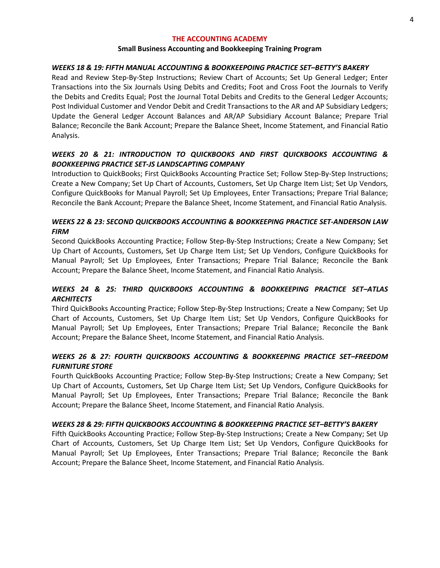### **Small Business Accounting and Bookkeeping Training Program**

## *WEEKS 18 & 19: FIFTH MANUAL ACCOUNTING & BOOKKEEPOING PRACTICE SET–BETTY'S BAKERY*

Read and Review Step-By-Step Instructions; Review Chart of Accounts; Set Up General Ledger; Enter Transactions into the Six Journals Using Debits and Credits; Foot and Cross Foot the Journals to Verify the Debits and Credits Equal; Post the Journal Total Debits and Credits to the General Ledger Accounts; Post Individual Customer and Vendor Debit and Credit Transactions to the AR and AP Subsidiary Ledgers; Update the General Ledger Account Balances and AR/AP Subsidiary Account Balance; Prepare Trial Balance; Reconcile the Bank Account; Prepare the Balance Sheet, Income Statement, and Financial Ratio Analysis.

# *WEEKS 20 & 21: INTRODUCTION TO QUICKBOOKS AND FIRST QUICKBOOKS ACCOUNTING & BOOKKEEPING PRACTICE SET-JS LANDSCAPTING COMPANY*

Introduction to QuickBooks; First QuickBooks Accounting Practice Set; Follow Step-By-Step Instructions; Create a New Company; Set Up Chart of Accounts, Customers, Set Up Charge Item List; Set Up Vendors, Configure QuickBooks for Manual Payroll; Set Up Employees, Enter Transactions; Prepare Trial Balance; Reconcile the Bank Account; Prepare the Balance Sheet, Income Statement, and Financial Ratio Analysis.

# *WEEKS 22 & 23: SECOND QUICKBOOKS ACCOUNTING & BOOKKEEPING PRACTICE SET-ANDERSON LAW FIRM*

Second QuickBooks Accounting Practice; Follow Step-By-Step Instructions; Create a New Company; Set Up Chart of Accounts, Customers, Set Up Charge Item List; Set Up Vendors, Configure QuickBooks for Manual Payroll; Set Up Employees, Enter Transactions; Prepare Trial Balance; Reconcile the Bank Account; Prepare the Balance Sheet, Income Statement, and Financial Ratio Analysis.

# *WEEKS 24 & 25: THIRD QUICKBOOKS ACCOUNTING & BOOKKEEPING PRACTICE SET–ATLAS ARCHITECTS*

Third QuickBooks Accounting Practice; Follow Step-By-Step Instructions; Create a New Company; Set Up Chart of Accounts, Customers, Set Up Charge Item List; Set Up Vendors, Configure QuickBooks for Manual Payroll; Set Up Employees, Enter Transactions; Prepare Trial Balance; Reconcile the Bank Account; Prepare the Balance Sheet, Income Statement, and Financial Ratio Analysis.

# *WEEKS 26 & 27: FOURTH QUICKBOOKS ACCOUNTING & BOOKKEEPING PRACTICE SET–FREEDOM FURNITURE STORE*

Fourth QuickBooks Accounting Practice; Follow Step-By-Step Instructions; Create a New Company; Set Up Chart of Accounts, Customers, Set Up Charge Item List; Set Up Vendors, Configure QuickBooks for Manual Payroll; Set Up Employees, Enter Transactions; Prepare Trial Balance; Reconcile the Bank Account; Prepare the Balance Sheet, Income Statement, and Financial Ratio Analysis.

## *WEEKS 28 & 29: FIFTH QUICKBOOKS ACCOUNTING & BOOKKEEPING PRACTICE SET–BETTY'S BAKERY*

Fifth QuickBooks Accounting Practice; Follow Step-By-Step Instructions; Create a New Company; Set Up Chart of Accounts, Customers, Set Up Charge Item List; Set Up Vendors, Configure QuickBooks for Manual Payroll; Set Up Employees, Enter Transactions; Prepare Trial Balance; Reconcile the Bank Account; Prepare the Balance Sheet, Income Statement, and Financial Ratio Analysis.